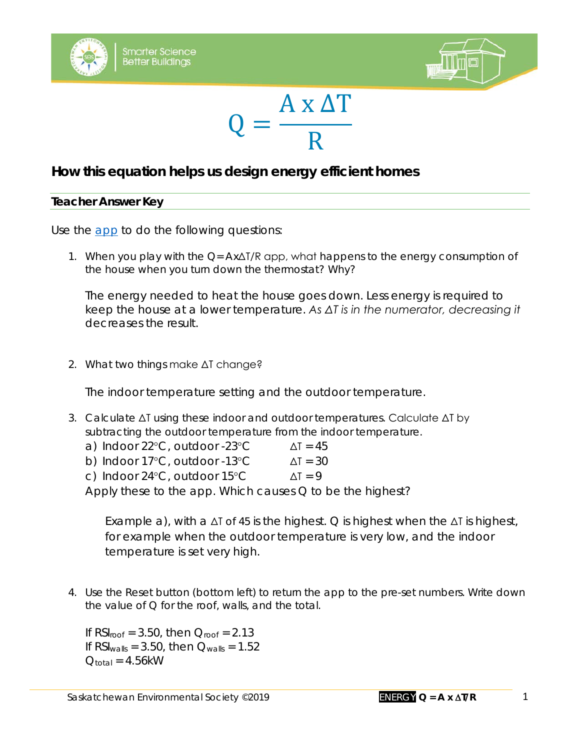





## **How this equation helps us design energy efficient homes**

## **Teacher Answer Key**

Use the [app](http://environmentalsociety.ca/smarterscience2018/index2.html) to do the following questions:

1. When you play with the  $Q = Ax\Delta T/R$  app, what happens to the energy consumption of the house when you turn down the thermostat? Why?

*The energy needed to heat the house goes down. Less energy is required to keep the house at a lower temperature. As ΔT is in the numerator, decreasing it decreases the result.*

2. What two things make ΔT change?

*The indoor temperature setting and the outdoor temperature.*

3. Calculate ΔT using these indoor and outdoor temperatures. Calculate ΔT by subtracting the outdoor temperature from the indoor temperature.

| a) Indoor $22^{\circ}$ C, outdoor -23 $^{\circ}$ C  | $\Delta T = 45$ |
|-----------------------------------------------------|-----------------|
| b) Indoor $17^{\circ}$ C, outdoor -13 $^{\circ}$ C  | $\Delta T = 30$ |
| c) Indoor $24^{\circ}$ C, outdoor $15^{\circ}$ C    | $\Delta T = 9$  |
| Apply those to the app Which causes $\bigcap$ to be |                 |

Apply these to the app. Which causes Q to be the highest?

*Example a), with a* ΔT of 45 *is the highest. Q is highest when the* ΔT *is highest, for example when the outdoor temperature is very low, and the indoor temperature is set very high.*

4. Use the Reset button (bottom left) to return the app to the pre-set numbers. Write down the value of  $Q$  for the roof, walls, and the total.

*If RSIroof = 3.50, then Qroof = 2.13 If RSIwalls = 3.50, then Qwalls = 1.52 Qtotal = 4.56kW*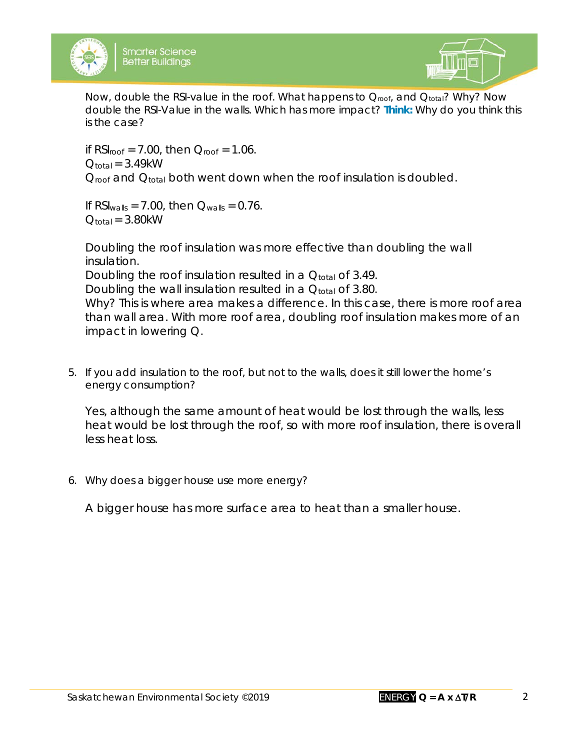



Now, double the RSI-value in the roof. What happens to  $Q_{\text{roof}}$ , and  $Q_{\text{total}}$ ? Why? Now double the RSI-Value in the walls. Which has more impact? *Think:* Why do you think this is the case?

*if RSIroof = 7.00, then Qroof = 1.06. Qtotal = 3.49kW Qroof and Qtotal both went down when the roof insulation is doubled.*

*If RSIwalls = 7.00, then Qwalls = 0.76. Qtotal = 3.80kW*

*Doubling the roof insulation was more effective than doubling the wall insulation. Doubling the roof insulation resulted in a Qtotal of 3.49. Doubling the wall insulation resulted in a Qtotal of 3.80. Why? This is where area makes a difference. In this case, there is more roof area than wall area. With more roof area, doubling roof insulation makes more of an impact in lowering Q.* 

5. If you add insulation to the roof, but not to the walls, does it still lower the home's energy consumption?

*Yes, although the same amount of heat would be lost through the walls, less*  heat would be lost through the roof, so with more roof insulation, there is overall *less heat loss.* 

6. Why does a bigger house use more energy?

*A bigger house has more surface area to heat than a smaller house.*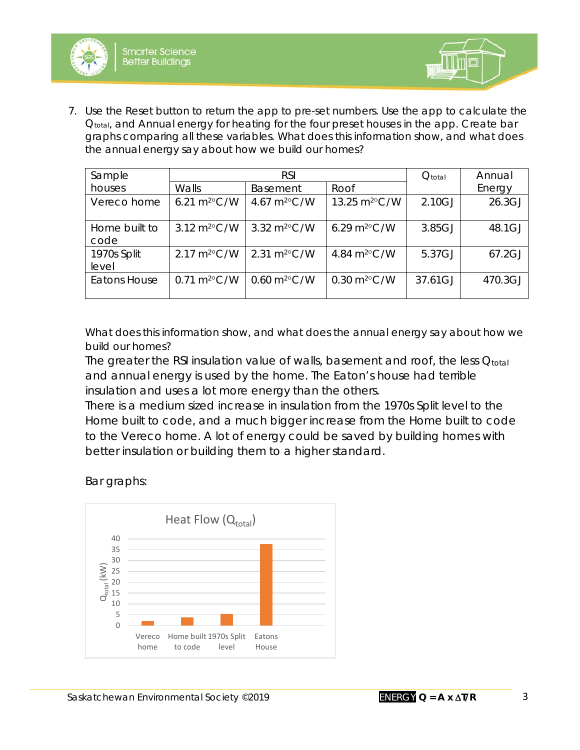



7. Use the Reset button to return the app to pre-set numbers. Use the app to calculate the Q<sub>total</sub>, and Annual energy for heating for the four preset houses in the app. Create bar graphs comparing all these variables. What does this information show, and what does the annual energy say about how we build our homes?

| Sample                | <b>RSI</b>                    |                                   |                                   | $Q_{\text{total}}$ | Annual  |
|-----------------------|-------------------------------|-----------------------------------|-----------------------------------|--------------------|---------|
| houses                | Walls                         | <b>Basement</b>                   | Roof                              |                    | Energy  |
| Vereco home           | 6.21 $m^{20}$ C/W             | 4.67 $m^{20}$ C/W                 | 13.25 m <sup>2</sup> °C/W         | 2.10GJ             | 26.3GJ  |
| Home built to<br>code | 3.12 m <sup>2</sup> °C/W      | 3.32 $m^{20}$ C/W                 | 6.29 $m^2$ °C/W                   | 3.85GJ             | 48.1GJ  |
| 1970s Split<br>level  | $2.17 \text{ m}^2\text{°C/W}$ | $2.31 \text{ m}^{2} \text{°C/W}$  | 4.84 m <sup>2</sup> °C/W          | 5.37GJ             | 67.2GJ  |
| <b>Eatons House</b>   | $0.71 \text{ m}^2\text{°C/W}$ | $0.60 \text{ m}^2\textdegree C/W$ | $0.30 \text{ m}^2\textdegree C/W$ | 37.61GJ            | 470.3GJ |

What does this information show, and what does the annual energy say about how we build our homes?

The greater the RSI insulation value of walls, basement and roof, the less Qtotal *and annual energy is used by the home. The Eaton's house had terrible insulation and uses a lot more energy than the others.* 

*There is a medium sized increase in insulation from the 1970s Split level to the Home built to code, and a much bigger increase from the Home built to code to the Vereco home. A lot of energy could be saved by building homes with better insulation or building them to a higher standard.*

*Bar graphs:*

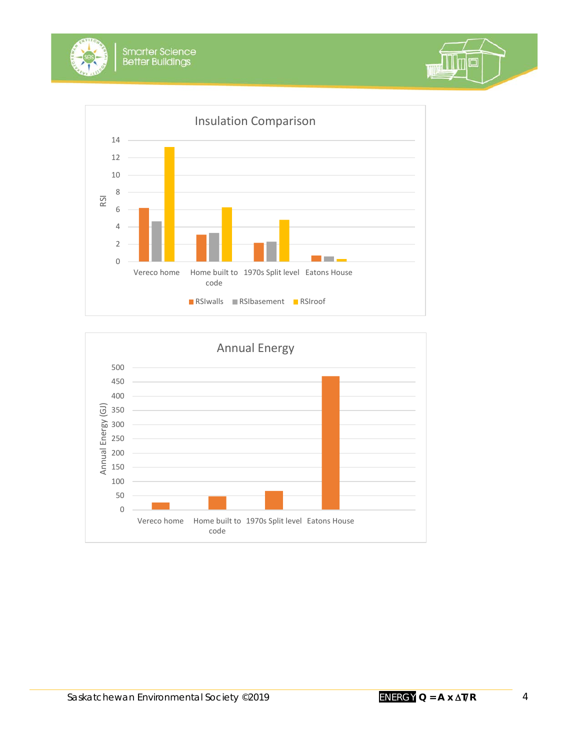





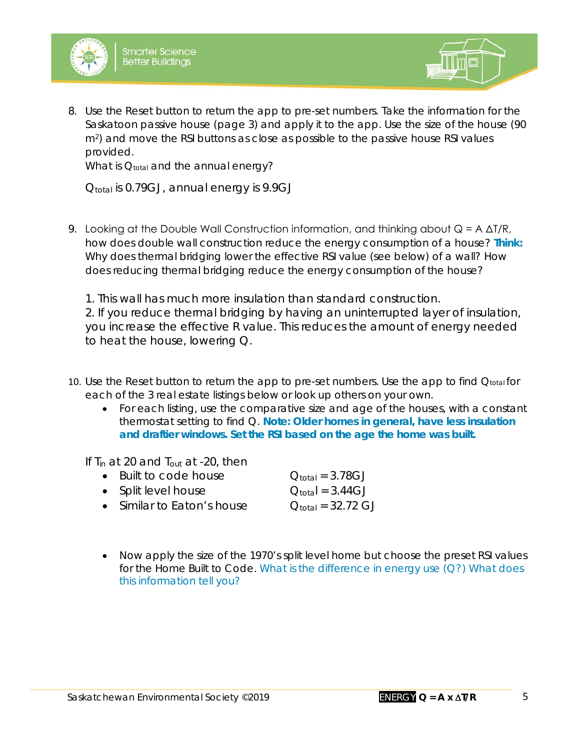



8. Use the Reset button to return the app to pre-set numbers. Take the information for the Saskatoon passive house (page 3) and apply it to the app. Use the size of the house (90 m2) and move the RSI buttons as close as possible to the passive house RSI values provided.

What is Q<sub>total</sub> and the annual energy?

*Qtotal is 0.79GJ, annual energy is 9.9GJ*

9. Looking at the Double Wall Construction information, and thinking about  $Q = A \Delta T/R$ , how does double wall construction reduce the energy consumption of a house? *Think:* Why does thermal bridging lower the effective RSI value (see below) of a wall? How does reducing thermal bridging reduce the energy consumption of the house?

*1. This wall has much more insulation than standard construction. 2. If you reduce thermal bridging by having an uninterrupted layer of insulation, you increase the effective R value. This reduces the amount of energy needed to heat the house, lowering Q.*

- 10. Use the Reset button to return the app to pre-set numbers. Use the app to find  $Q<sub>total</sub>$  for each of the 3 real estate listings below or look up others on your own.
	- For each listing, use the comparative size and age of the houses, with a constant thermostat setting to find Q. *Note: Older homes in general, have less insulation and draftier windows. Set the RSI based on the age the home was built.*

*If Tin at 20 and Tout at -20, then*

| • Built to code house      | $Q_{\text{total}} = 3.78 \text{GJ}$   |
|----------------------------|---------------------------------------|
| • Split level house        | $Q_{\text{total}} = 3.44 \text{GJ}$   |
| • Similar to Eaton's house | $Q_{\text{total}} = 32.72 \text{ GJ}$ |

• Now apply the size of the 1970's split level home but choose the preset RSI values for the *Home Built to Code*. What is the difference in energy use (Q?) What does this information tell you?